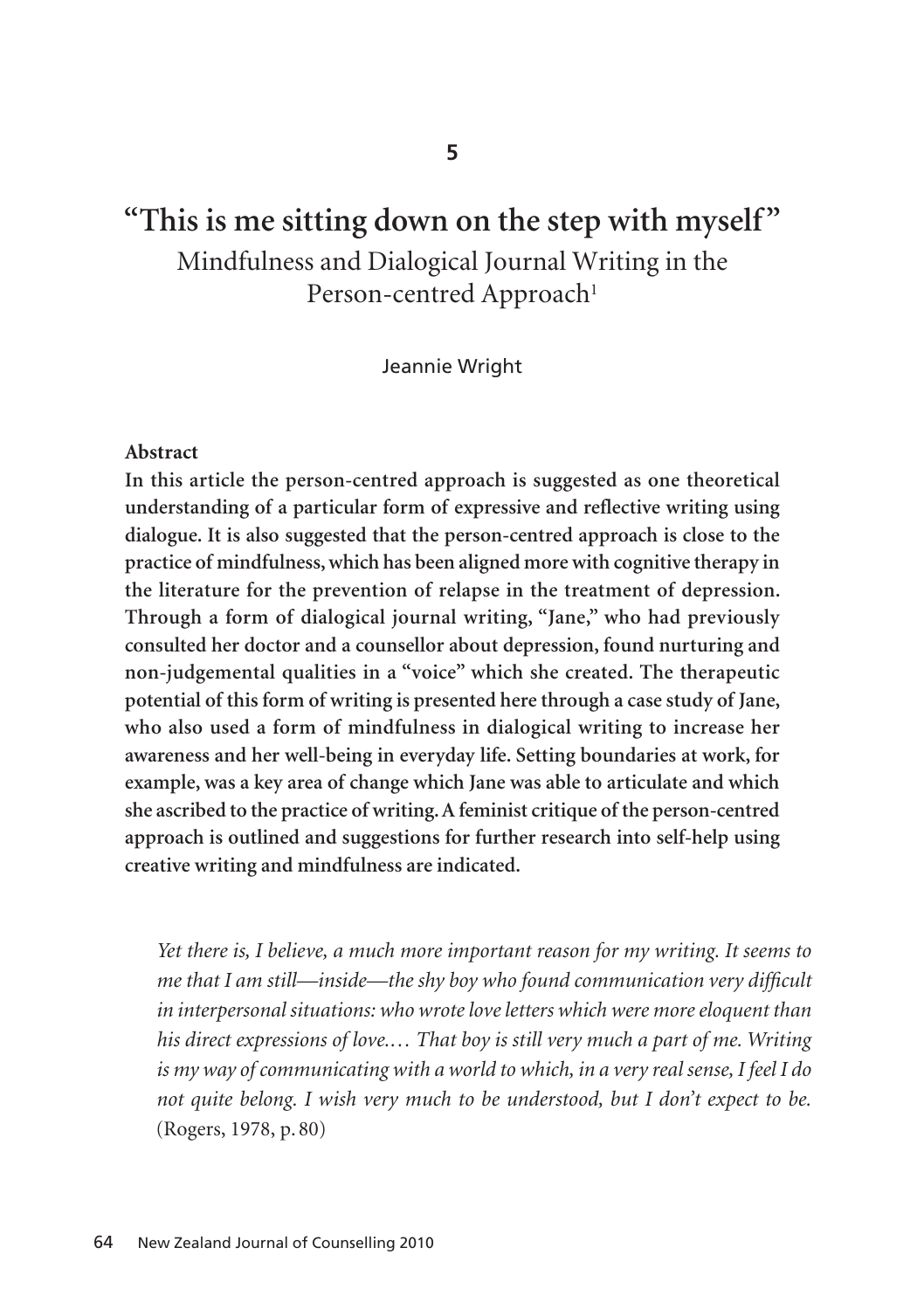# **"This is me sitting down on the step with myself"** Mindfulness and Dialogical Journal Writing in the Person-centred Approach<sup>1</sup>

Jeannie Wright

#### **Abstract**

**In this article the person-centred approach is suggested as one theoretical understanding of a particular form of expressive and reflective writing using dialogue. It is also suggested that the person-centred approach is close to the practice of mindfulness, which has been aligned more with cognitive therapy in the literature for the prevention of relapse in the treatment of depression. Through a form of dialogical journal writing, "Jane," who had previously consulted her doctor and a counsellor about depression, found nurturing and non-judgemental qualities in a "voice" which she created. The therapeutic potential of this form of writing is presented here through a case study of Jane, who also used a form of mindfulness in dialogical writing to increase her awareness and her well-being in everyday life. Setting boundaries at work, for example, was a key area of change which Jane was able to articulate and which she ascribed to the practice of writing. A feminist critique of the person-centred approach is outlined and suggestions for further research into self-help using creative writing and mindfulness are indicated.**

*Yet there is, I believe, a much more important reason for my writing. It seems to me that I am still—inside—the shy boy who found communication very difficult in interpersonal situations: who wrote love letters which were more eloquent than his direct expressions of love.… That boy is still very much a part of me. Writing is my way of communicating with a world to which, in a very real sense, I feel I do not quite belong. I wish very much to be understood, but I don't expect to be.* (Rogers, 1978, p. 80)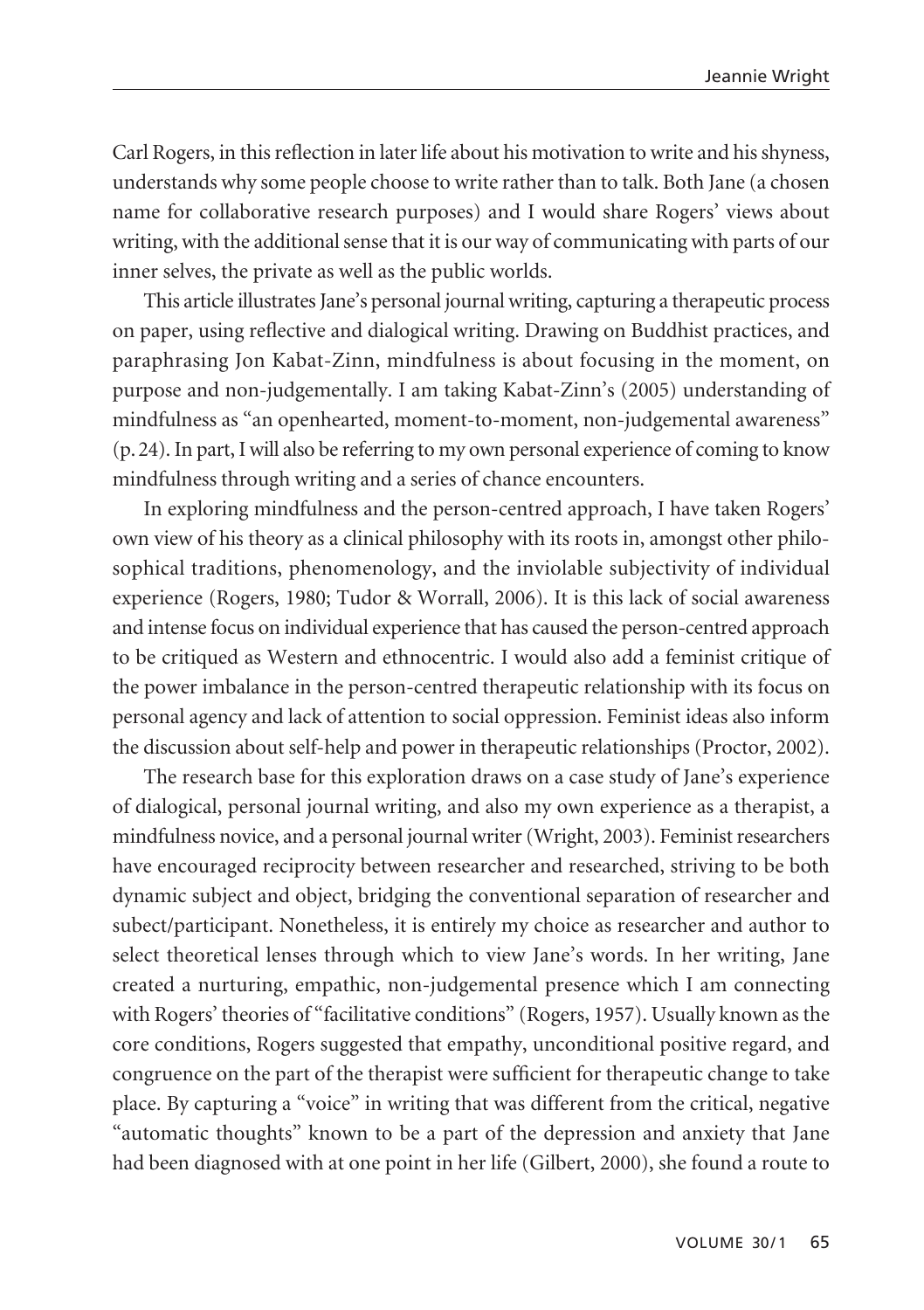Carl Rogers, in this reflection in later life about his motivation to write and his shyness, understands why some people choose to write rather than to talk. Both Jane (a chosen name for collaborative research purposes) and I would share Rogers' views about writing, with the additional sense that it is our way of communicating with parts of our inner selves, the private as well as the public worlds.

This article illustrates Jane's personal journal writing, capturing a therapeutic process on paper, using reflective and dialogical writing. Drawing on Buddhist practices, and paraphrasing Jon Kabat-Zinn, mindfulness is about focusing in the moment, on purpose and non-judgementally. I am taking Kabat-Zinn's (2005) understanding of mindfulness as "an openhearted, moment-to-moment, non-judgemental awareness" (p.24). In part, I will also be referring to my own personal experience of coming to know mindfulness through writing and a series of chance encounters.

In exploring mindfulness and the person-centred approach, I have taken Rogers' own view of his theory as a clinical philosophy with its roots in, amongst other philosophical traditions, phenomenology, and the inviolable subjectivity of individual experience (Rogers, 1980; Tudor & Worrall, 2006). It is this lack of social awareness and intense focus on individual experience that has caused the person-centred approach to be critiqued as Western and ethnocentric. I would also add a feminist critique of the power imbalance in the person-centred therapeutic relationship with its focus on personal agency and lack of attention to social oppression. Feminist ideas also inform the discussion about self-help and power in therapeutic relationships (Proctor, 2002).

The research base for this exploration draws on a case study of Jane's experience of dialogical, personal journal writing, and also my own experience as a therapist, a mindfulness novice, and a personal journal writer (Wright, 2003). Feminist researchers have encouraged reciprocity between researcher and researched, striving to be both dynamic subject and object, bridging the conventional separation of researcher and subect/participant. Nonetheless, it is entirely my choice as researcher and author to select theoretical lenses through which to view Jane's words. In her writing, Jane created a nurturing, empathic, non-judgemental presence which I am connecting with Rogers' theories of "facilitative conditions" (Rogers, 1957). Usually known as the core conditions, Rogers suggested that empathy, unconditional positive regard, and congruence on the part of the therapist were sufficient for therapeutic change to take place. By capturing a "voice" in writing that was different from the critical, negative "automatic thoughts" known to be a part of the depression and anxiety that Jane had been diagnosed with at one point in her life (Gilbert, 2000), she found a route to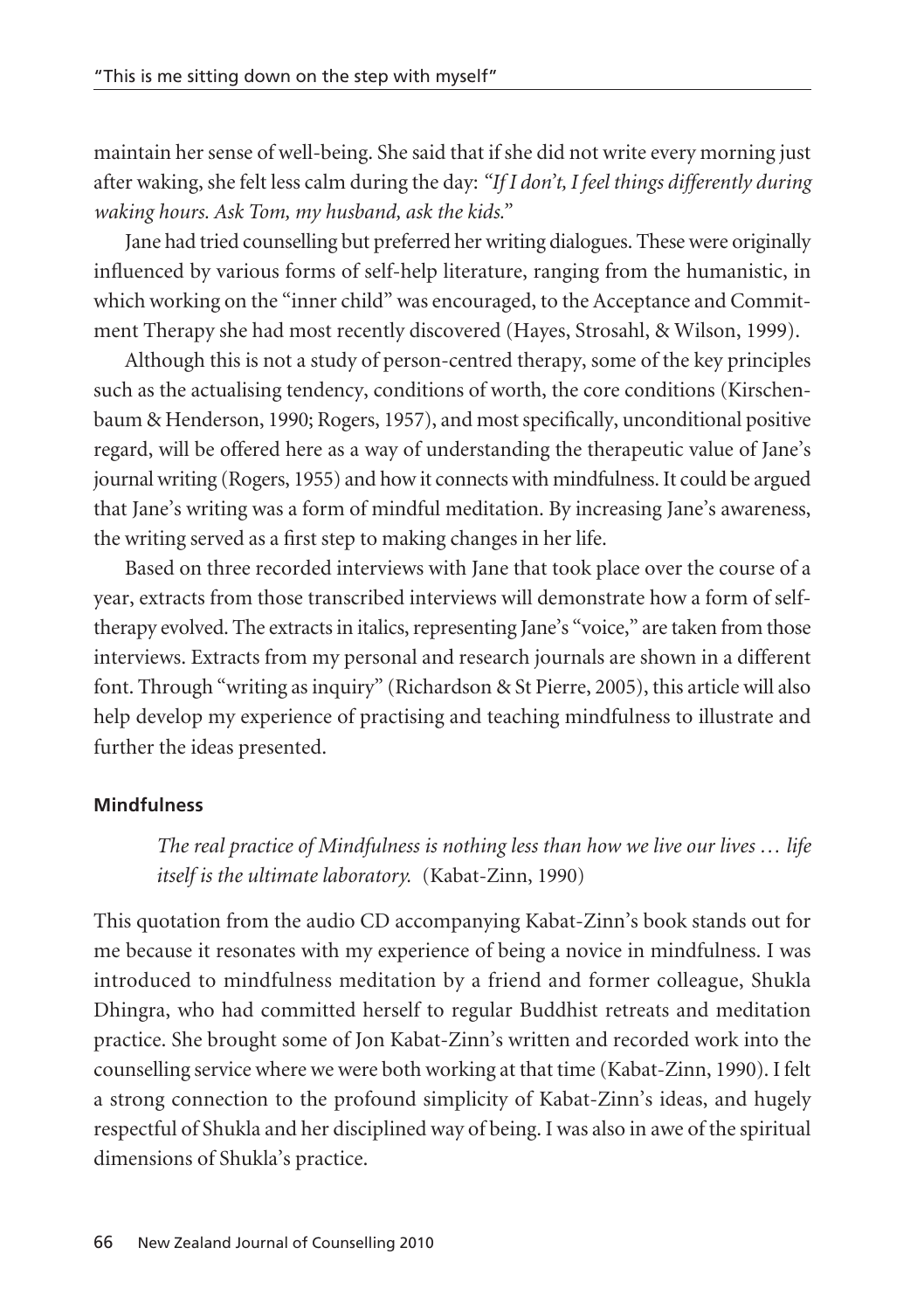maintain her sense of well-being. She said that if she did not write every morning just after waking, she felt less calm during the day: *"If I don't, I feel things differently during waking hours. Ask Tom, my husband, ask the kids."*

Jane had tried counselling but preferred her writing dialogues. These were originally influenced by various forms of self-help literature, ranging from the humanistic, in which working on the "inner child" was encouraged, to the Acceptance and Commitment Therapy she had most recently discovered (Hayes, Strosahl, & Wilson, 1999).

Although this is not a study of person-centred therapy, some of the key principles such as the actualising tendency, conditions of worth, the core conditions (Kirschenbaum & Henderson, 1990; Rogers, 1957), and most specifically, unconditional positive regard, will be offered here as a way of understanding the therapeutic value of Jane's journal writing (Rogers, 1955) and how it connects with mindfulness. It could be argued that Jane's writing was a form of mindful meditation. By increasing Jane's awareness, the writing served as a first step to making changes in her life.

Based on three recorded interviews with Jane that took place over the course of a year, extracts from those transcribed interviews will demonstrate how a form of selftherapy evolved. The extracts in italics, representing Jane's "voice," are taken from those interviews. Extracts from my personal and research journals are shown in a different font. Through "writing as inquiry" (Richardson & St Pierre, 2005), this article will also help develop my experience of practising and teaching mindfulness to illustrate and further the ideas presented.

### **Mindfulness**

*The real practice of Mindfulness is nothing less than how we live our lives … life itself is the ultimate laboratory.* (Kabat-Zinn, 1990)

This quotation from the audio CD accompanying Kabat-Zinn's book stands out for me because it resonates with my experience of being a novice in mindfulness. I was introduced to mindfulness meditation by a friend and former colleague, Shukla Dhingra, who had committed herself to regular Buddhist retreats and meditation practice. She brought some of Jon Kabat-Zinn's written and recorded work into the counselling service where we were both working at that time (Kabat-Zinn, 1990). I felt a strong connection to the profound simplicity of Kabat-Zinn's ideas, and hugely respectful of Shukla and her disciplined way of being. I was also in awe of the spiritual dimensions of Shukla's practice.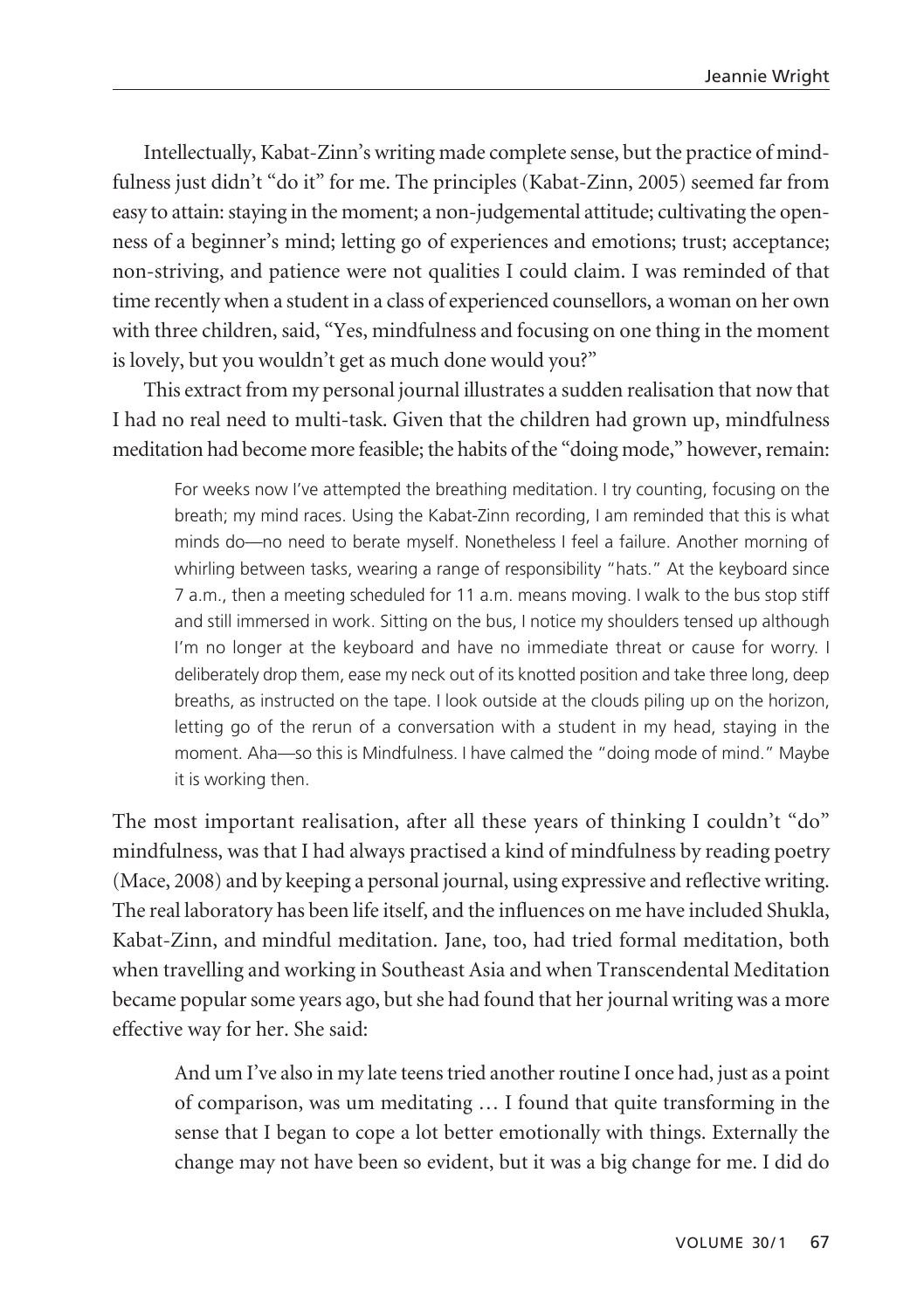Intellectually, Kabat-Zinn's writing made complete sense, but the practice of mindfulness just didn't "do it" for me. The principles (Kabat-Zinn, 2005) seemed far from easy to attain: staying in the moment; a non-judgemental attitude; cultivating the openness of a beginner's mind; letting go of experiences and emotions; trust; acceptance; non-striving, and patience were not qualities I could claim. I was reminded of that time recently when a student in a class of experienced counsellors, a woman on her own with three children, said, "Yes, mindfulness and focusing on one thing in the moment is lovely, but you wouldn't get as much done would you?"

This extract from my personal journal illustrates a sudden realisation that now that I had no real need to multi-task. Given that the children had grown up, mindfulness meditation had become more feasible; the habits of the "doing mode," however, remain:

For weeks now I've attempted the breathing meditation. I try counting, focusing on the breath; my mind races. Using the Kabat-Zinn recording, I am reminded that this is what minds do—no need to berate myself. Nonetheless I feel a failure. Another morning of whirling between tasks, wearing a range of responsibility "hats." At the keyboard since 7 a.m., then a meeting scheduled for 11 a.m. means moving. I walk to the bus stop stiff and still immersed in work. Sitting on the bus, I notice my shoulders tensed up although I'm no longer at the keyboard and have no immediate threat or cause for worry. I deliberately drop them, ease my neck out of its knotted position and take three long, deep breaths, as instructed on the tape. I look outside at the clouds piling up on the horizon, letting go of the rerun of a conversation with a student in my head, staying in the moment. Aha—so this is Mindfulness. I have calmed the "doing mode of mind." Maybe it is working then.

The most important realisation, after all these years of thinking I couldn't "do" mindfulness, was that I had always practised a kind of mindfulness by reading poetry (Mace, 2008) and by keeping a personal journal, using expressive and reflective writing. The real laboratory has been life itself, and the influences on me have included Shukla, Kabat-Zinn, and mindful meditation. Jane, too, had tried formal meditation, both when travelling and working in Southeast Asia and when Transcendental Meditation became popular some years ago, but she had found that her journal writing was a more effective way for her. She said:

And um I've also in my late teens tried another routine I once had, just as a point of comparison, was um meditating … I found that quite transforming in the sense that I began to cope a lot better emotionally with things. Externally the change may not have been so evident, but it was a big change for me. I did do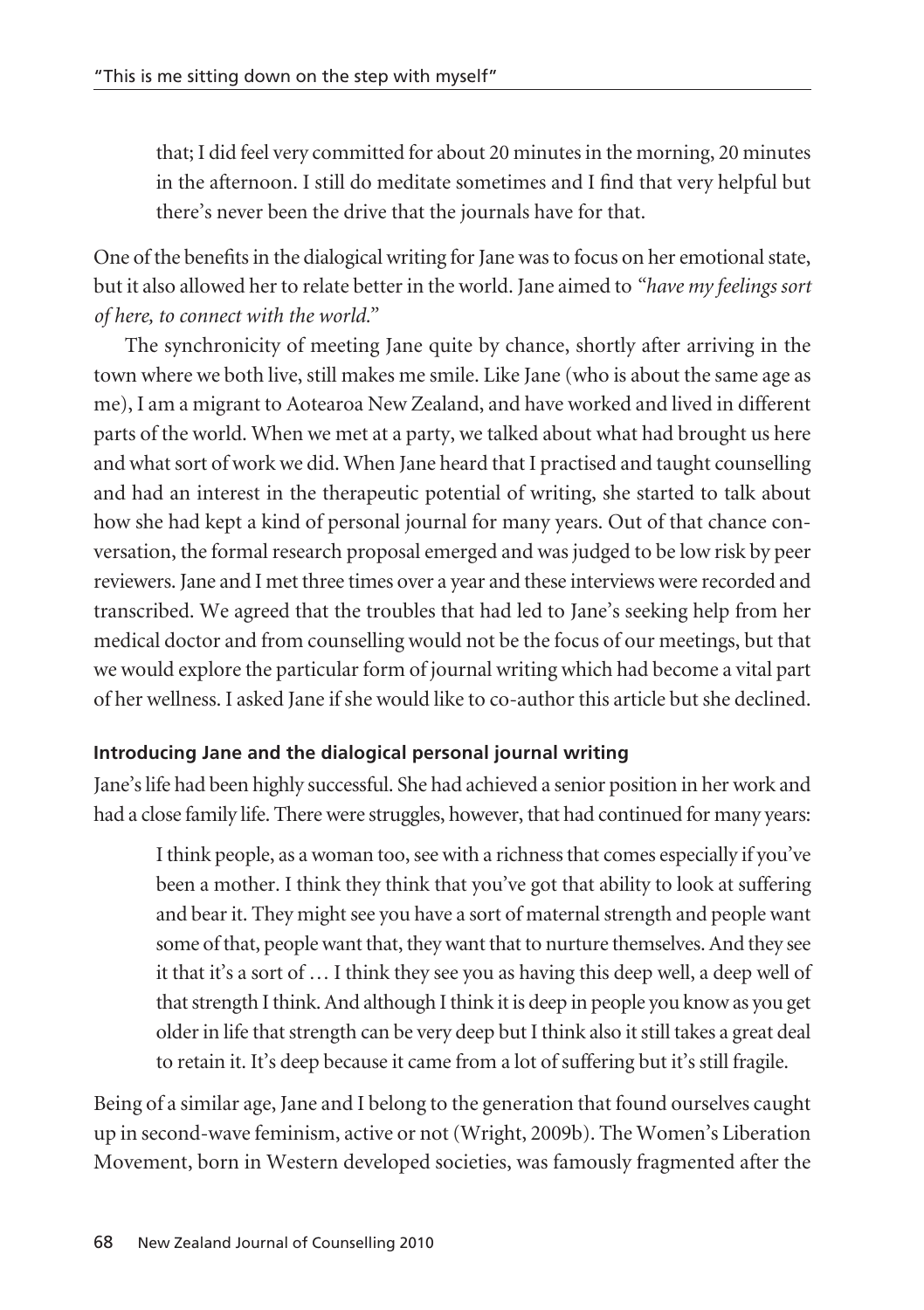that; I did feel very committed for about 20 minutes in the morning, 20 minutes in the afternoon. I still do meditate sometimes and I find that very helpful but there's never been the drive that the journals have for that.

One of the benefits in the dialogical writing for Jane was to focus on her emotional state, but it also allowed her to relate better in the world. Jane aimed to *"have my feelings sort of here, to connect with the world."*

The synchronicity of meeting Jane quite by chance, shortly after arriving in the town where we both live, still makes me smile. Like Jane (who is about the same age as me), I am a migrant to Aotearoa New Zealand, and have worked and lived in different parts of the world. When we met at a party, we talked about what had brought us here and what sort of work we did. When Jane heard that I practised and taught counselling and had an interest in the therapeutic potential of writing, she started to talk about how she had kept a kind of personal journal for many years. Out of that chance conversation, the formal research proposal emerged and was judged to be low risk by peer reviewers. Jane and I met three times over a year and these interviews were recorded and transcribed. We agreed that the troubles that had led to Jane's seeking help from her medical doctor and from counselling would not be the focus of our meetings, but that we would explore the particular form of journal writing which had become a vital part of her wellness. I asked Jane if she would like to co-author this article but she declined.

# **Introducing Jane and the dialogical personal journal writing**

Jane's life had been highly successful. She had achieved a senior position in her work and had a close family life. There were struggles, however, that had continued for many years:

I think people, as a woman too, see with a richness that comes especially if you've been a mother. I think they think that you've got that ability to look at suffering and bear it. They might see you have a sort of maternal strength and people want some of that, people want that, they want that to nurture themselves. And they see it that it's a sort of … I think they see you as having this deep well, a deep well of that strength I think. And although I think it is deep in people you know as you get older in life that strength can be very deep but I think also it still takes a great deal to retain it. It's deep because it came from a lot of suffering but it's still fragile.

Being of a similar age, Jane and I belong to the generation that found ourselves caught up in second-wave feminism, active or not (Wright, 2009b). The Women's Liberation Movement, born in Western developed societies, was famously fragmented after the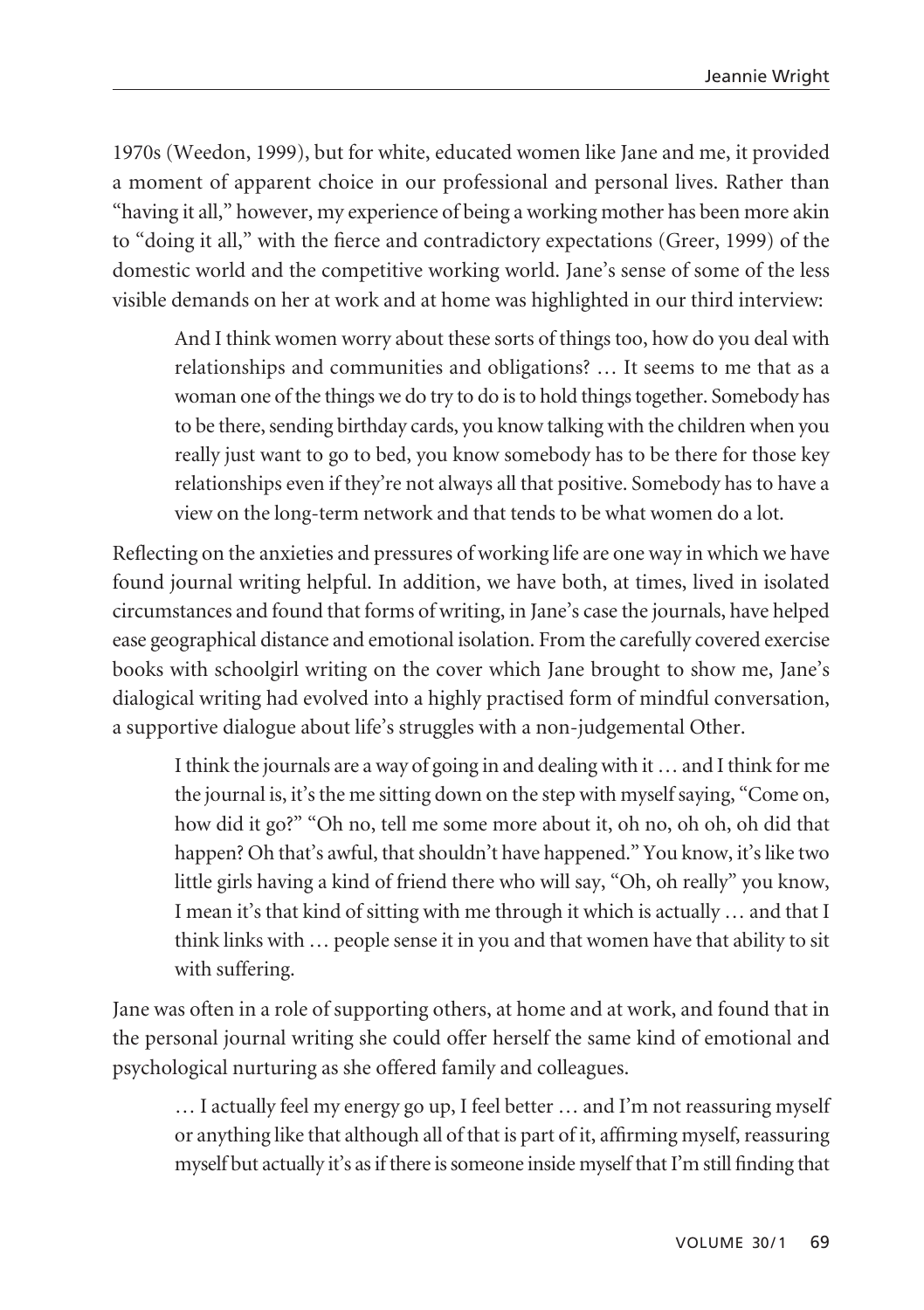1970s (Weedon, 1999), but for white, educated women like Jane and me, it provided a moment of apparent choice in our professional and personal lives. Rather than "having it all," however, my experience of being a working mother has been more akin to "doing it all," with the fierce and contradictory expectations (Greer, 1999) of the domestic world and the competitive working world. Jane's sense of some of the less visible demands on her at work and at home was highlighted in our third interview:

And I think women worry about these sorts of things too, how do you deal with relationships and communities and obligations? … It seems to me that as a woman one of the things we do try to do is to hold things together. Somebody has to be there, sending birthday cards, you know talking with the children when you really just want to go to bed, you know somebody has to be there for those key relationships even if they're not always all that positive. Somebody has to have a view on the long-term network and that tends to be what women do a lot.

Reflecting on the anxieties and pressures of working life are one way in which we have found journal writing helpful. In addition, we have both, at times, lived in isolated circumstances and found that forms of writing, in Jane's case the journals, have helped ease geographical distance and emotional isolation. From the carefully covered exercise books with schoolgirl writing on the cover which Jane brought to show me, Jane's dialogical writing had evolved into a highly practised form of mindful conversation, a supportive dialogue about life's struggles with a non-judgemental Other.

I think the journals are a way of going in and dealing with it … and I think for me the journal is, it's the me sitting down on the step with myself saying, "Come on, how did it go?" "Oh no, tell me some more about it, oh no, oh oh, oh did that happen? Oh that's awful, that shouldn't have happened." You know, it's like two little girls having a kind of friend there who will say, "Oh, oh really" you know, I mean it's that kind of sitting with me through it which is actually … and that I think links with … people sense it in you and that women have that ability to sit with suffering.

Jane was often in a role of supporting others, at home and at work, and found that in the personal journal writing she could offer herself the same kind of emotional and psychological nurturing as she offered family and colleagues.

… I actually feel my energy go up, I feel better … and I'm not reassuring myself or anything like that although all of that is part of it, affirming myself, reassuring myself but actually it's as if there is someone inside myself that I'm still finding that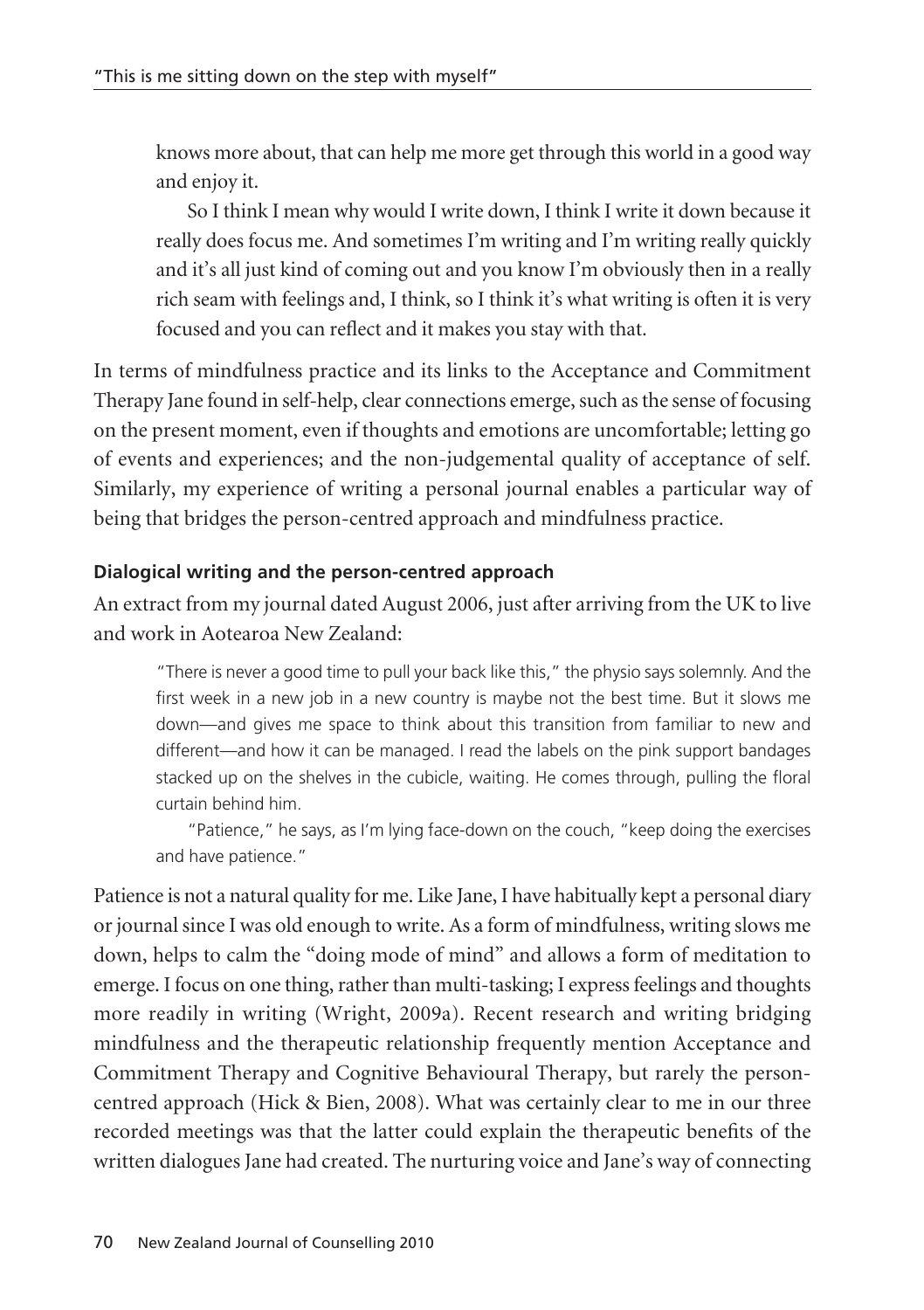knows more about, that can help me more get through this world in a good way and enjoy it.

So I think I mean why would I write down, I think I write it down because it really does focus me. And sometimes I'm writing and I'm writing really quickly and it's all just kind of coming out and you know I'm obviously then in a really rich seam with feelings and, I think, so I think it's what writing is often it is very focused and you can reflect and it makes you stay with that.

In terms of mindfulness practice and its links to the Acceptance and Commitment Therapy Jane found in self-help, clear connections emerge, such as the sense of focusing on the present moment, even if thoughts and emotions are uncomfortable; letting go of events and experiences; and the non-judgemental quality of acceptance of self. Similarly, my experience of writing a personal journal enables a particular way of being that bridges the person-centred approach and mindfulness practice.

# **Dialogical writing and the person-centred approach**

An extract from my journal dated August 2006, just after arriving from the UK to live and work in Aotearoa New Zealand:

"There is never a good time to pull your back like this," the physio says solemnly. And the first week in a new job in a new country is maybe not the best time. But it slows me down—and gives me space to think about this transition from familiar to new and different—and how it can be managed. I read the labels on the pink support bandages stacked up on the shelves in the cubicle, waiting. He comes through, pulling the floral curtain behind him.

"Patience," he says, as I'm lying face-down on the couch, "keep doing the exercises and have patience."

Patience is not a natural quality for me. Like Jane, I have habitually kept a personal diary or journal since I was old enough to write. As a form of mindfulness, writing slows me down, helps to calm the "doing mode of mind" and allows a form of meditation to emerge. I focus on one thing, rather than multi-tasking; I express feelings and thoughts more readily in writing (Wright, 2009a). Recent research and writing bridging mindfulness and the therapeutic relationship frequently mention Acceptance and Commitment Therapy and Cognitive Behavioural Therapy, but rarely the personcentred approach (Hick & Bien, 2008). What was certainly clear to me in our three recorded meetings was that the latter could explain the therapeutic benefits of the written dialogues Jane had created. The nurturing voice and Jane's way of connecting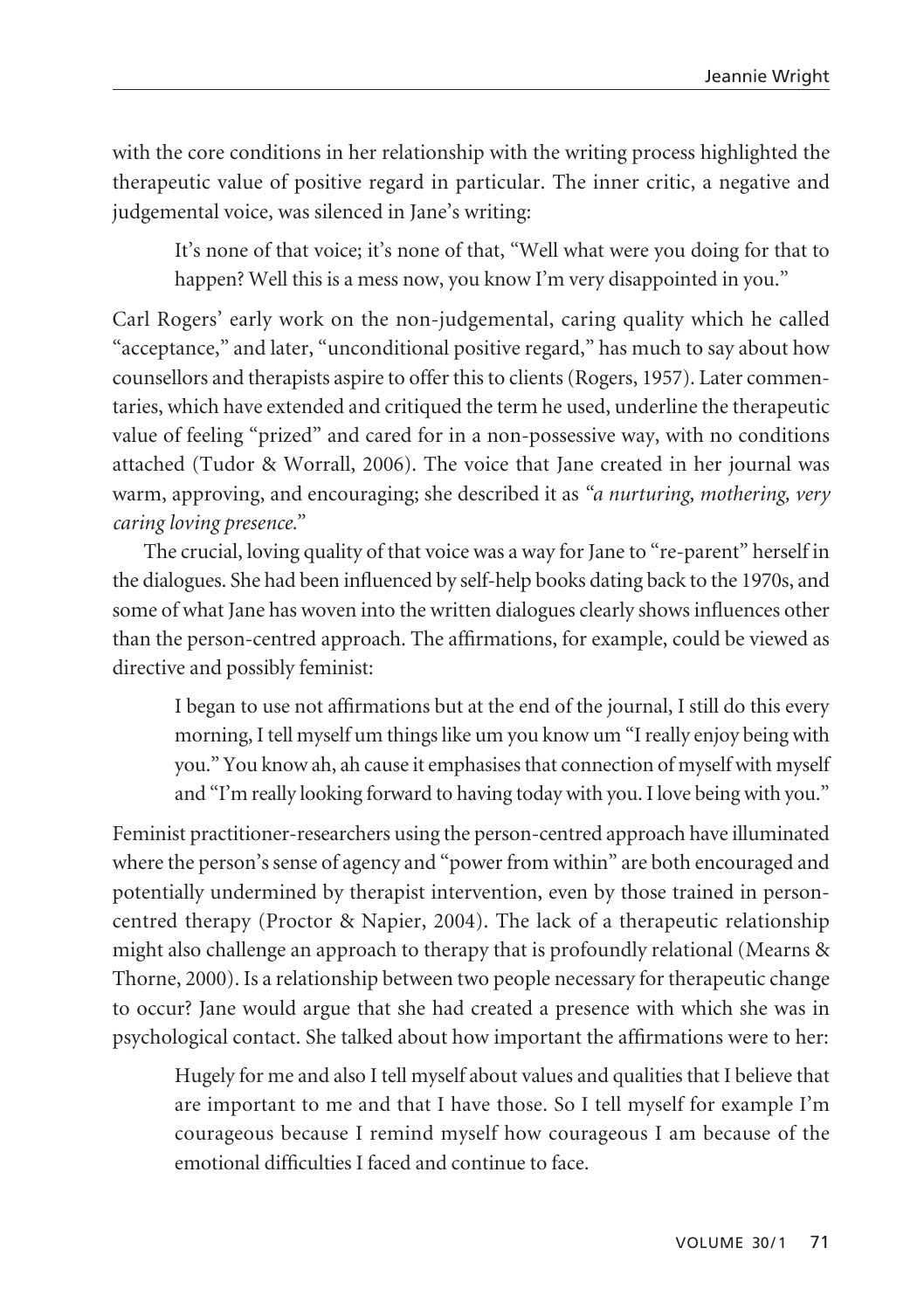with the core conditions in her relationship with the writing process highlighted the therapeutic value of positive regard in particular. The inner critic, a negative and judgemental voice, was silenced in Jane's writing:

It's none of that voice; it's none of that, "Well what were you doing for that to happen? Well this is a mess now, you know I'm very disappointed in you."

Carl Rogers' early work on the non-judgemental, caring quality which he called "acceptance," and later, "unconditional positive regard," has much to say about how counsellors and therapists aspire to offer this to clients (Rogers, 1957). Later commen taries, which have extended and critiqued the term he used, underline the therapeutic value of feeling "prized" and cared for in a non-possessive way, with no conditions attached (Tudor & Worrall, 2006). The voice that Jane created in her journal was warm, approving, and encouraging; she described it as *"a nurturing, mothering, very caring loving presence."*

The crucial, loving quality of that voice was a way for Jane to "re-parent" herself in the dialogues. She had been influenced by self-help books dating back to the 1970s, and some of what Jane has woven into the written dialogues clearly shows influences other than the person-centred approach. The affirmations, for example, could be viewed as directive and possibly feminist:

I began to use not affirmations but at the end of the journal, I still do this every morning, I tell myself um things like um you know um "I really enjoy being with you." You know ah, ah cause it emphasises that connection of myself with myself and "I'm really looking forward to having today with you. I love being with you."

Feminist practitioner-researchers using the person-centred approach have illuminated where the person's sense of agency and "power from within" are both encouraged and potentially undermined by therapist intervention, even by those trained in personcentred therapy (Proctor & Napier, 2004). The lack of a therapeutic relationship might also challenge an approach to therapy that is profoundly relational (Mearns & Thorne, 2000). Is a relationship between two people necessary for therapeutic change to occur? Jane would argue that she had created a presence with which she was in psychological contact. She talked about how important the affirmations were to her:

Hugely for me and also I tell myself about values and qualities that I believe that are important to me and that I have those. So I tell myself for example I'm courageous because I remind myself how courageous I am because of the emotional difficulties I faced and continue to face.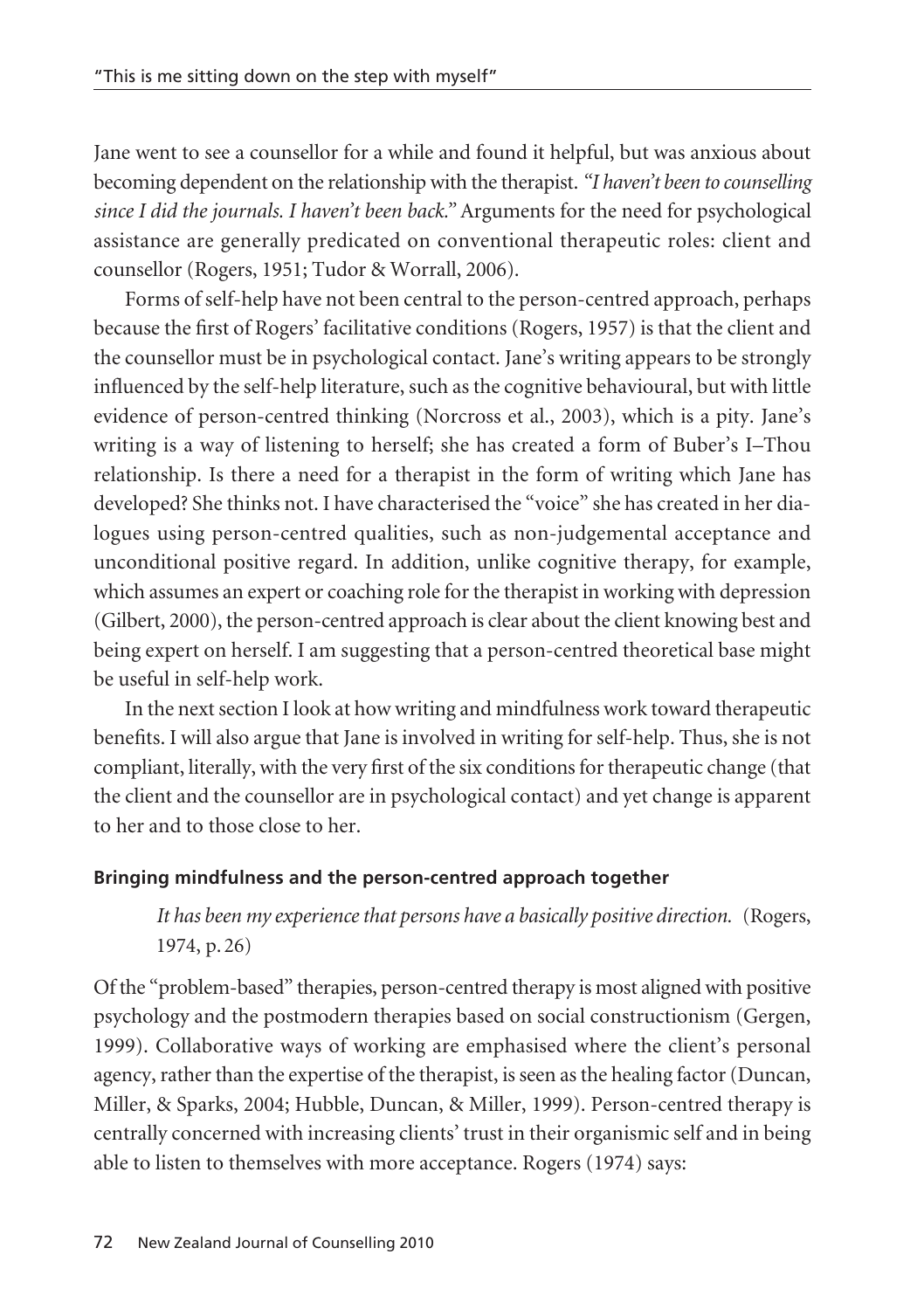Jane went to see a counsellor for a while and found it helpful, but was anxious about becoming dependent on the relationship with the therapist. *"I haven't been to counselling since I did the journals. I haven't been back."* Arguments for the need for psychological assistance are generally predicated on conventional therapeutic roles: client and counsellor (Rogers, 1951; Tudor & Worrall, 2006).

Forms of self-help have not been central to the person-centred approach, perhaps because the first of Rogers' facilitative conditions (Rogers, 1957) is that the client and the counsellor must be in psychological contact. Jane's writing appears to be strongly influenced by the self-help literature, such as the cognitive behavioural, but with little evidence of person-centred thinking (Norcross et al., 2003), which is a pity. Jane's writing is a way of listening to herself; she has created a form of Buber's I–Thou relation ship. Is there a need for a therapist in the form of writing which Jane has developed? She thinks not. I have characterised the "voice" she has created in her dia logues using person-centred qualities, such as non-judgemental acceptance and unconditional positive regard. In addition, unlike cognitive therapy, for example, which assumes an expert or coaching role for the therapist in working with depression (Gilbert, 2000), the person-centred approach is clear about the client knowing best and being expert on herself. I am suggesting that a person-centred theoretical base might be useful in self-help work.

In the next section I look at how writing and mindfulness work toward therapeutic benefits. I will also argue that Jane is involved in writing for self-help. Thus, she is not compliant, literally, with the very first of the six conditions for therapeutic change (that the client and the counsellor are in psychological contact) and yet change is apparent to her and to those close to her.

# **Bringing mindfulness and the person-centred approach together**

*It has been my experience that persons have a basically positive direction.* (Rogers, 1974, p. 26)

Of the "problem-based" therapies, person-centred therapy is most aligned with positive psychology and the postmodern therapies based on social constructionism (Gergen, 1999). Collaborative ways of working are emphasised where the client's personal agency, rather than the expertise of the therapist, is seen as the healing factor (Duncan, Miller, & Sparks, 2004; Hubble, Duncan, & Miller, 1999). Person-centred therapy is centrally concerned with increasing clients' trust in their organismic self and in being able to listen to themselves with more acceptance. Rogers (1974) says: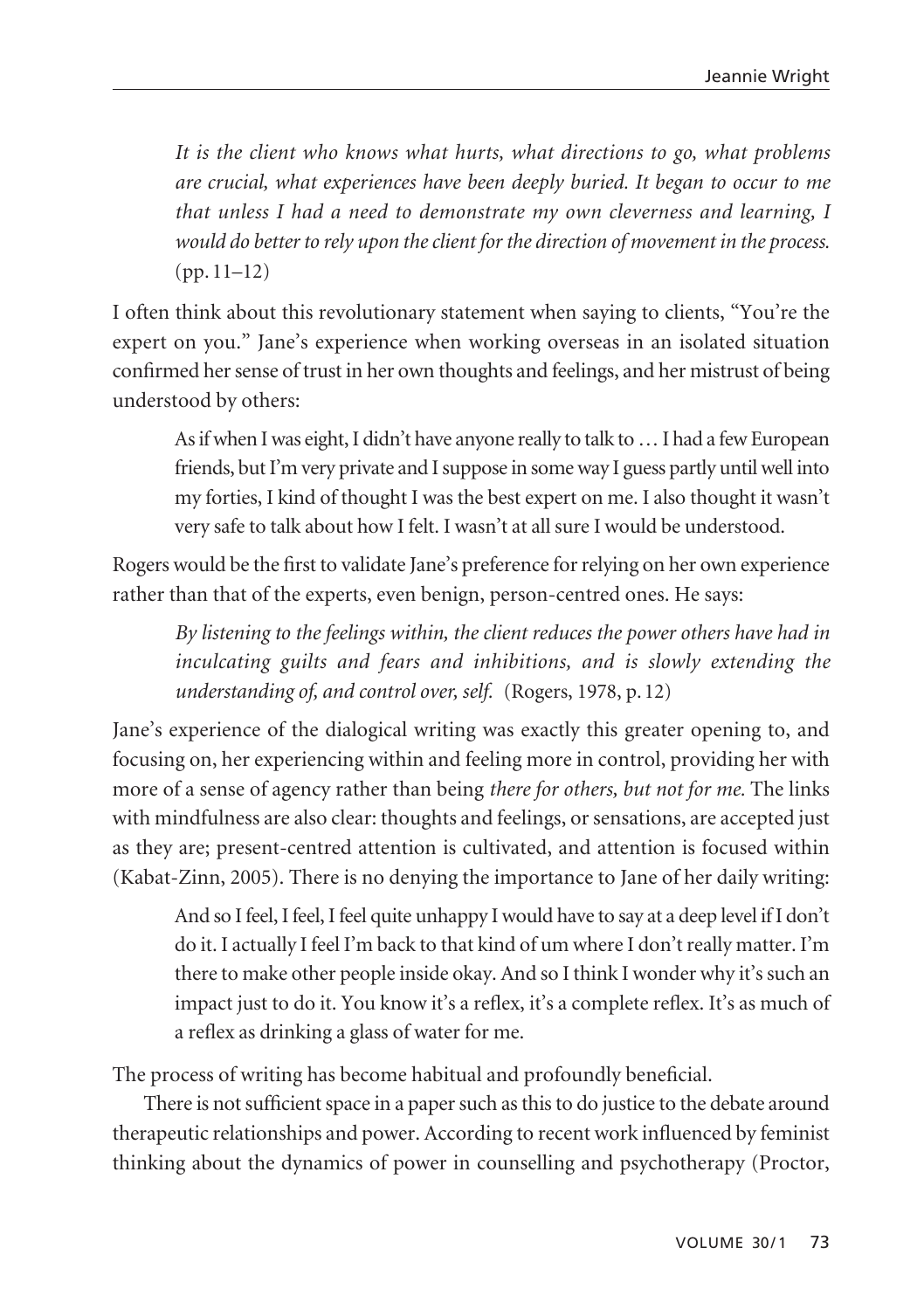*It is the client who knows what hurts, what directions to go, what problems are crucial, what experiences have been deeply buried. It began to occur to me that unless I had a need to demonstrate my own cleverness and learning, I would do better to rely upon the client for the direction of movement in the process.* (pp. 11–12)

I often think about this revolutionary statement when saying to clients, "You're the expert on you." Jane's experience when working overseas in an isolated situation confirmed her sense of trust in her own thoughts and feelings, and her mistrust of being understood by others:

As if when I was eight, I didn't have anyone really to talk to … I had a few European friends, but I'm very private and I suppose in some way I guess partly until well into my forties, I kind of thought I was the best expert on me. I also thought it wasn't very safe to talk about how I felt. I wasn't at all sure I would be understood.

Rogers would be the first to validate Jane's preference for relying on her own experience rather than that of the experts, even benign, person-centred ones. He says:

*By listening to the feelings within, the client reduces the power others have had in inculcating guilts and fears and inhibitions, and is slowly extending the understanding of, and control over, self.* (Rogers, 1978, p. 12)

Jane's experience of the dialogical writing was exactly this greater opening to, and focusing on, her experiencing within and feeling more in control, providing her with more of a sense of agency rather than being *there for others, but not for me.* The links with mindfulness are also clear: thoughts and feelings, or sensations, are accepted just as they are; present-centred attention is cultivated, and attention is focused within (Kabat-Zinn, 2005). There is no denying the importance to Jane of her daily writing:

And so I feel, I feel, I feel quite unhappy I would have to say at a deep level if I don't do it. I actually I feel I'm back to that kind of um where I don't really matter. I'm there to make other people inside okay. And so I think I wonder why it's such an impact just to do it. You know it's a reflex, it's a complete reflex. It's as much of a reflex as drinking a glass of water for me.

The process of writing has become habitual and profoundly beneficial.

There is not sufficient space in a paper such as this to do justice to the debate around therapeutic relationships and power. According to recent work influenced by feminist thinking about the dynamics of power in counselling and psychotherapy (Proctor,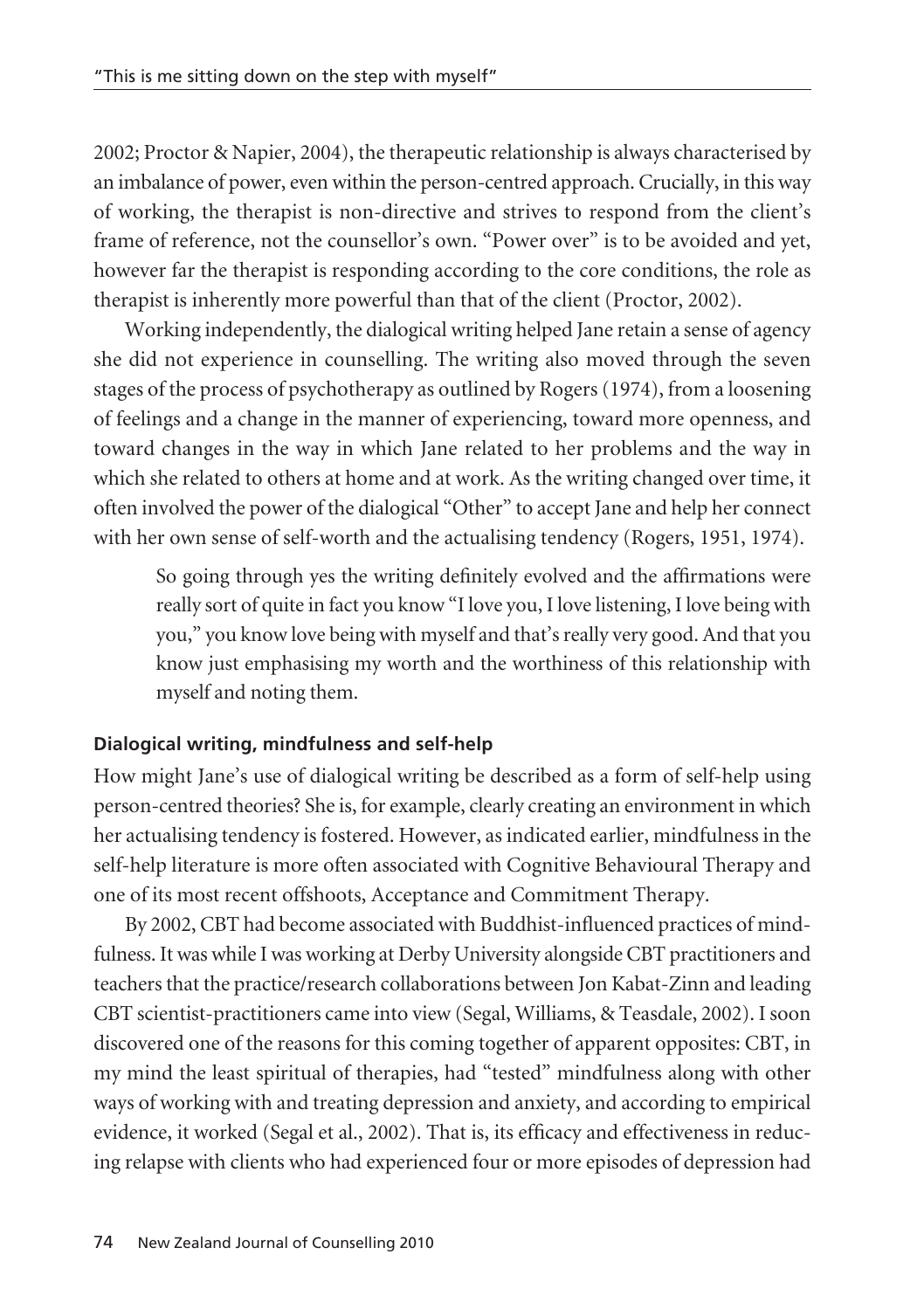2002; Proctor & Napier, 2004), the therapeutic relationship is always characterised by an imbalance of power, even within the person-centred approach. Crucially, in this way of working, the therapist is non-directive and strives to respond from the client's frame of reference, not the counsellor's own. "Power over" is to be avoided and yet, however far the therapist is responding according to the core conditions, the role as therapist is inherently more powerful than that of the client (Proctor, 2002).

Working independently, the dialogical writing helped Jane retain a sense of agency she did not experience in counselling. The writing also moved through the seven stages of the process of psychotherapy as outlined by Rogers (1974), from a loosening of feelings and a change in the manner of experiencing, toward more openness, and toward changes in the way in which Jane related to her problems and the way in which she related to others at home and at work. As the writing changed over time, it often involved the power of the dialogical "Other" to accept Jane and help her connect with her own sense of self-worth and the actualising tendency (Rogers, 1951, 1974).

So going through yes the writing definitely evolved and the affirmations were really sort of quite in fact you know "I love you, I love listening, I love being with you," you know love being with myself and that's really very good. And that you know just emphasising my worth and the worthiness of this relationship with myself and noting them.

# **Dialogical writing, mindfulness and self-help**

How might Jane's use of dialogical writing be described as a form of self-help using person-centred theories? She is, for example, clearly creating an environment in which her actualising tendency is fostered. However, as indicated earlier, mindfulness in the self-help literature is more often associated with Cognitive Behavioural Therapy and one of its most recent offshoots, Acceptance and Commitment Therapy.

By 2002, CBT had become associated with Buddhist-influenced practices of mindfulness. It was while I was working at Derby University alongside CBT practitioners and teachers that the practice/research collaborations between Jon Kabat-Zinn and leading CBT scientist-practitioners came into view (Segal, Williams, & Teasdale, 2002). I soon discovered one of the reasons for this coming together of apparent opposites: CBT, in my mind the least spiritual of therapies, had "tested" mindfulness along with other ways of working with and treating depression and anxiety, and according to empirical evidence, it worked (Segal et al., 2002). That is, its efficacy and effectiveness in reducing relapse with clients who had experienced four or more episodes of depression had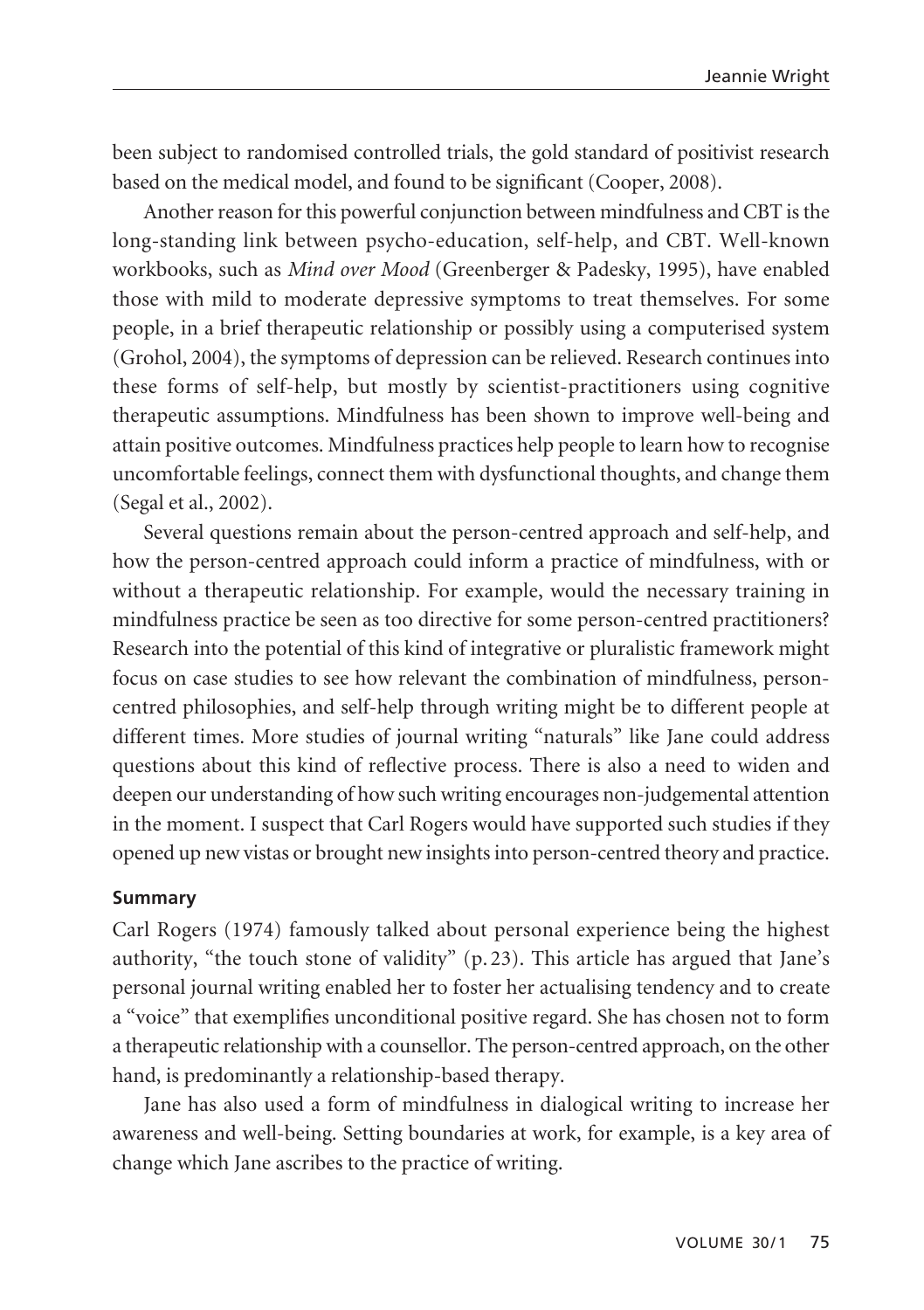been subject to randomised controlled trials, the gold standard of positivist research based on the medical model, and found to be significant (Cooper, 2008).

Another reason for this powerful conjunction between mindfulness and CBT is the long-standing link between psycho-education, self-help, and CBT. Well-known workbooks, such as *Mind over Mood* (Greenberger & Padesky, 1995), have enabled those with mild to moderate depressive symptoms to treat themselves. For some people, in a brief therapeutic relationship or possibly using a computerised system (Grohol, 2004), the symptoms of depression can be relieved. Research continues into these forms of self-help, but mostly by scientist-practitioners using cognitive therapeutic assumptions. Mindfulness has been shown to improve well-being and attain positive outcomes. Mindfulness practices help people to learn how to recognise uncomfortable feelings, connect them with dysfunctional thoughts, and change them (Segal et al., 2002).

Several questions remain about the person-centred approach and self-help, and how the person-centred approach could inform a practice of mindfulness, with or without a therapeutic relationship. For example, would the necessary training in mindfulness practice be seen as too directive for some person-centred practitioners? Research into the potential of this kind of integrative or pluralistic framework might focus on case studies to see how relevant the combination of mindfulness, personcentred philosophies, and self-help through writing might be to different people at different times. More studies of journal writing "naturals" like Jane could address questions about this kind of reflective process. There is also a need to widen and deepen our understanding of how such writing encourages non-judgemental attention in the moment. I suspect that Carl Rogers would have supported such studies if they opened up new vistas or brought new insights into person-centred theory and practice.

### **Summary**

Carl Rogers (1974) famously talked about personal experience being the highest authority, "the touch stone of validity" (p. 23). This article has argued that Jane's personal journal writing enabled her to foster her actualising tendency and to create a "voice" that exemplifies unconditional positive regard. She has chosen not to form a therapeutic relationship with a counsellor. The person-centred approach, on the other hand, is predominantly a relationship-based therapy.

Jane has also used a form of mindfulness in dialogical writing to increase her awareness and well-being. Setting boundaries at work, for example, is a key area of change which Jane ascribes to the practice of writing.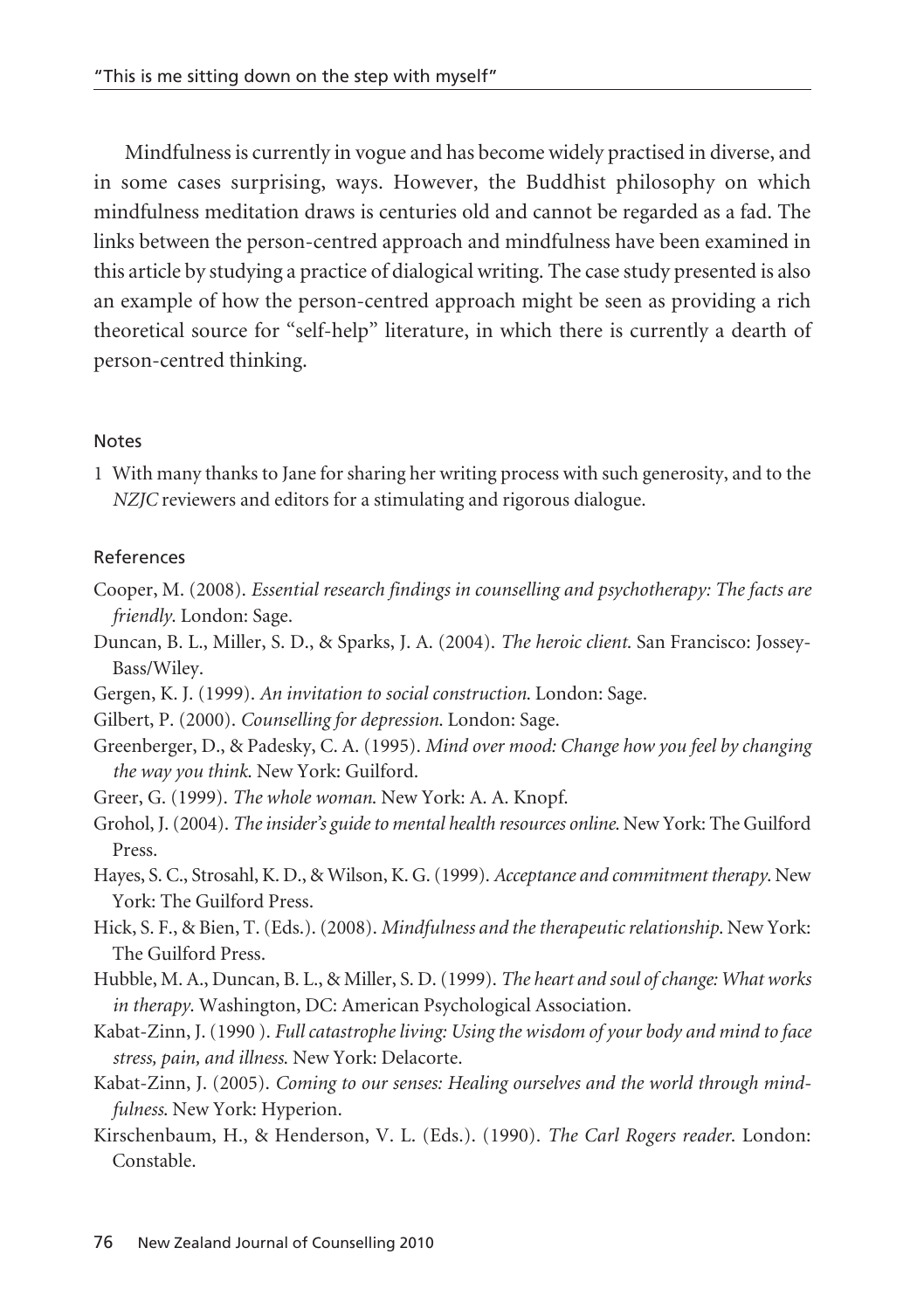Mindfulness is currently in vogue and has become widely practised in diverse, and in some cases surprising, ways. However, the Buddhist philosophy on which mindfulness meditation draws is centuries old and cannot be regarded as a fad. The links between the person-centred approach and mindfulness have been examined in this article by studying a practice of dialogical writing. The case study presented is also an example of how the person-centred approach might be seen as providing a rich theoretical source for "self-help" literature, in which there is currently a dearth of person-centred thinking.

#### **Notes**

1 With many thanks to Jane for sharing her writing process with such generosity, and to the *NZJC* reviewers and editors for a stimulating and rigorous dialogue.

#### References

- Cooper, M. (2008). *Essential research findings in counselling and psychotherapy: The facts are friendly*. London: Sage.
- Duncan, B. L., Miller, S. D., & Sparks, J. A. (2004). *The heroic client*. San Francisco: Jossey-Bass/Wiley.
- Gergen, K. J. (1999). *An invitation to social construction*. London: Sage.
- Gilbert, P. (2000). *Counselling for depression*. London: Sage.
- Greenberger, D., & Padesky, C. A. (1995). *Mind over mood: Change how you feel by changing the way you think*. New York: Guilford.
- Greer, G. (1999). *The whole woman*. New York: A. A. Knopf.
- Grohol, J. (2004). *The insider's guide to mental health resources online*. New York: The Guilford Press.
- Hayes, S. C., Strosahl, K. D., & Wilson, K. G. (1999). *Acceptance and commitment therapy*. New York: The Guilford Press.
- Hick, S. F., & Bien, T. (Eds.). (2008). *Mindfulness and the therapeutic relationship*. New York: The Guilford Press.
- Hubble, M. A., Duncan, B. L., & Miller, S. D. (1999). *The heart and soul of change: What works in therapy*. Washington, DC: American Psychological Association.
- Kabat-Zinn, J. (1990 ). *Full catastrophe living: Using the wisdom of your body and mind to face stress, pain, and illness*. New York: Delacorte.
- Kabat-Zinn, J. (2005). *Coming to our senses: Healing ourselves and the world through mindfulness*. New York: Hyperion.
- Kirschenbaum, H., & Henderson, V. L. (Eds.). (1990). *The Carl Rogers reader*. London: Constable.